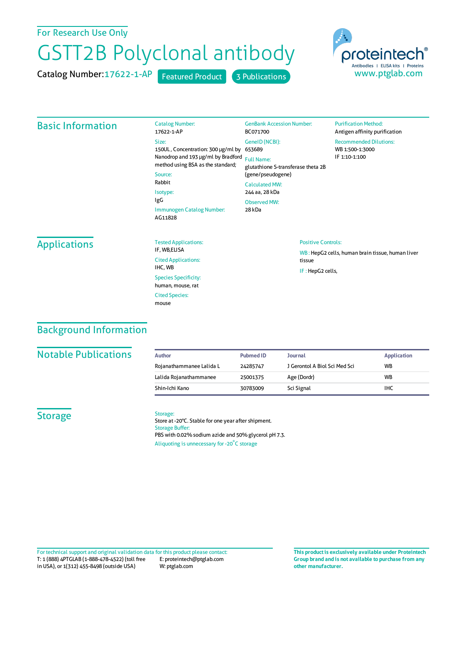## For Research Use Only

# GSTT2B Polyclonal antibody

Catalog Number: 17622-1-AP Featured Product 3 Publications



#### Basic Information

| <b>Catalog Number:</b><br>17622-1-AP                                                                                   | <b>GenBank Accession Number:</b><br>BC071700                                        | <b>Purification Method:</b><br>Antigen affinity purification      |  |
|------------------------------------------------------------------------------------------------------------------------|-------------------------------------------------------------------------------------|-------------------------------------------------------------------|--|
| Size:<br>150UL, Concentration: 300 µg/ml by<br>Nanodrop and 193 µg/ml by Bradford<br>method using BSA as the standard; | GeneID (NCBI):<br>653689<br><b>Full Name:</b><br>glutathione S-transferase theta 2B | <b>Recommended Dilutions:</b><br>WB 1:500-1:3000<br>IF 1:10-1:100 |  |
| Source:<br>Rabbit                                                                                                      | (gene/pseudogene)<br><b>Calculated MW:</b>                                          |                                                                   |  |
| Isotype:                                                                                                               | 244 aa, 28 kDa                                                                      |                                                                   |  |
| IgG                                                                                                                    | Observed MW:                                                                        |                                                                   |  |
| Immunogen Catalog Number:<br>AG11828                                                                                   | 28 kDa                                                                              |                                                                   |  |

## **Applications**

| <b>Tested Applications:</b><br>IF, WB,ELISA      |
|--------------------------------------------------|
| <b>Cited Applications:</b><br>IHC. WB            |
| <b>Species Specificity:</b><br>human, mouse, rat |
| <b>Cited Species:</b><br>mouse                   |

#### Positive Controls:

WB : HepG2 cells, human brain tissue, human liver tissue IF : HepG2 cells,

# Background Information

#### **Notable Publications**

| Author                   | <b>Pubmed ID</b> | <b>Journal</b>                | <b>Application</b> |
|--------------------------|------------------|-------------------------------|--------------------|
| Rojanathammanee Lalida L | 24285747         | J Gerontol A Biol Sci Med Sci | WB                 |
| Lalida Rojanathammanee   | 25001375         | Age (Dordr)                   | <b>WB</b>          |
| Shin-Ichi Kano           | 30783009         | Sci Signal                    | <b>IHC</b>         |

### **Storage**

#### Storage:

Store at -20°C. Stable for one year after shipment. Storage Buffer: PBS with 0.02% sodium azide and 50% glycerol pH 7.3. Aliquoting is unnecessary for -20<sup>°</sup>C storage

T: 1 (888) 4PTGLAB (1-888-478-4522) (toll free in USA), or 1(312) 455-8498 (outside USA) E: proteintech@ptglab.com W: ptglab.com Fortechnical support and original validation data forthis product please contact: **This productis exclusively available under Proteintech**

**Group brand and is not available to purchase from any other manufacturer.**